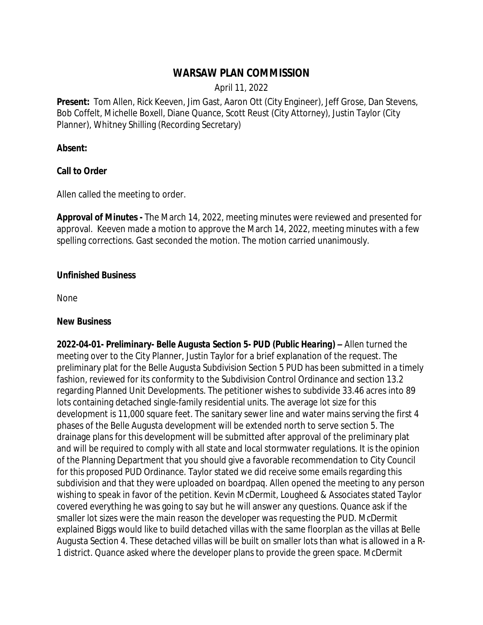# **WARSAW PLAN COMMISSION**

April 11, 2022

**Present:** Tom Allen, Rick Keeven, Jim Gast, Aaron Ott (City Engineer), Jeff Grose, Dan Stevens, Bob Coffelt, Michelle Boxell, Diane Quance, Scott Reust (City Attorney), Justin Taylor (City Planner), Whitney Shilling (Recording Secretary)

### **Absent:**

#### **Call to Order**

Allen called the meeting to order.

**Approval of Minutes -** The March 14, 2022, meeting minutes were reviewed and presented for approval. Keeven made a motion to approve the March 14, 2022, meeting minutes with a few spelling corrections. Gast seconded the motion. The motion carried unanimously.

#### **Unfinished Business**

None

#### **New Business**

*2022-04-01- Preliminary- Belle Augusta Section 5- PUD (Public Hearing) –* Allen turned the meeting over to the City Planner, Justin Taylor for a brief explanation of the request. The preliminary plat for the Belle Augusta Subdivision Section 5 PUD has been submitted in a timely fashion, reviewed for its conformity to the Subdivision Control Ordinance and section 13.2 regarding Planned Unit Developments. The petitioner wishes to subdivide 33.46 acres into 89 lots containing detached single-family residential units. The average lot size for this development is 11,000 square feet. The sanitary sewer line and water mains serving the first 4 phases of the Belle Augusta development will be extended north to serve section 5. The drainage plans for this development will be submitted after approval of the preliminary plat and will be required to comply with all state and local stormwater regulations. It is the opinion of the Planning Department that you should give a favorable recommendation to City Council for this proposed PUD Ordinance. Taylor stated we did receive some emails regarding this subdivision and that they were uploaded on boardpaq. Allen opened the meeting to any person wishing to speak in favor of the petition. Kevin McDermit, Lougheed & Associates stated Taylor covered everything he was going to say but he will answer any questions. Quance ask if the smaller lot sizes were the main reason the developer was requesting the PUD. McDermit explained Biggs would like to build detached villas with the same floorplan as the villas at Belle Augusta Section 4. These detached villas will be built on smaller lots than what is allowed in a R-1 district. Quance asked where the developer plans to provide the green space. McDermit